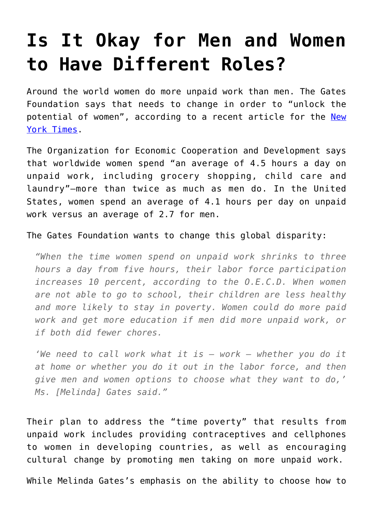## **[Is It Okay for Men and Women](https://intellectualtakeout.org/2016/02/is-it-okay-for-men-and-women-to-have-different-roles/) [to Have Different Roles?](https://intellectualtakeout.org/2016/02/is-it-okay-for-men-and-women-to-have-different-roles/)**

Around the world women do more unpaid work than men. The Gates Foundation says that needs to change in order to "unlock the potential of women", according to a recent article for the [New](http://www.nytimes.com/2016/02/23/upshot/how-society-pays-when-womens-work-is-unpaid.html?hp&action=click&pgtype=Homepage&clickSource=image&module=photo-spot-region®ion=top-news&WT.nav=top-news&_r=0) [York Times.](http://www.nytimes.com/2016/02/23/upshot/how-society-pays-when-womens-work-is-unpaid.html?hp&action=click&pgtype=Homepage&clickSource=image&module=photo-spot-region®ion=top-news&WT.nav=top-news&_r=0)

The Organization for Economic Cooperation and Development says that worldwide women spend "an average of 4.5 hours a day on unpaid work, including grocery shopping, child care and laundry"—more than twice as much as men do. In the United States, women spend an average of 4.1 hours per day on unpaid work versus an average of 2.7 for men.

The Gates Foundation wants to change this global disparity:

*"When the time women spend on unpaid work shrinks to three hours a day from five hours, their labor force participation increases 10 percent, according to the O.E.C.D. When women are not able to go to school, their children are less healthy and more likely to stay in poverty. Women could do more paid work and get more education if men did more unpaid work, or if both did fewer chores.*

*'We need to call work what it is — work — whether you do it at home or whether you do it out in the labor force, and then give men and women options to choose what they want to do,' Ms. [Melinda] Gates said."*

Their plan to address the "time poverty" that results from unpaid work includes providing contraceptives and cellphones to women in developing countries, as well as encouraging cultural change by promoting men taking on more unpaid work.

While Melinda Gates's emphasis on the ability to choose how to